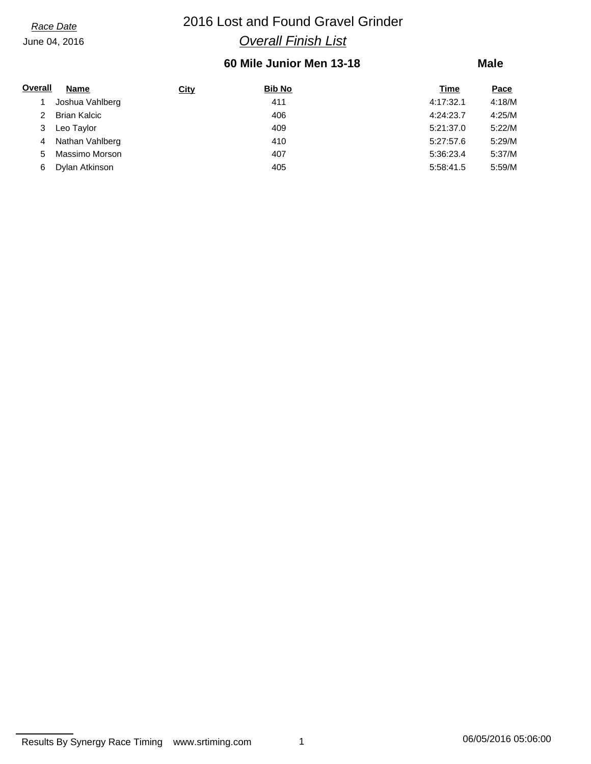## *Race Date* 2016 Lost and Found Gravel Grinder *Overall Finish List*

## **60 Mile Junior Men 13-18**

### **Male**

| Overall | Name                | <b>City</b> | <b>Bib No</b> | Time      | <u>Pace</u> |
|---------|---------------------|-------------|---------------|-----------|-------------|
|         | Joshua Vahlberg     |             | 411           | 4:17:32.1 | 4:18/M      |
|         | <b>Brian Kalcic</b> |             | 406           | 4:24:23.7 | 4:25/M      |
|         | Leo Taylor          |             | 409           | 5:21:37.0 | 5:22/M      |
| 4       | Nathan Vahlberg     |             | 410           | 5:27:57.6 | 5:29/M      |
| 5.      | Massimo Morson      |             | 407           | 5:36:23.4 | 5:37/M      |
| 6       | Dylan Atkinson      |             | 405           | 5:58:41.5 | 5:59/M      |

Results By Synergy Race Timing www.srtiming.com 1 06/05/2016 05:06:00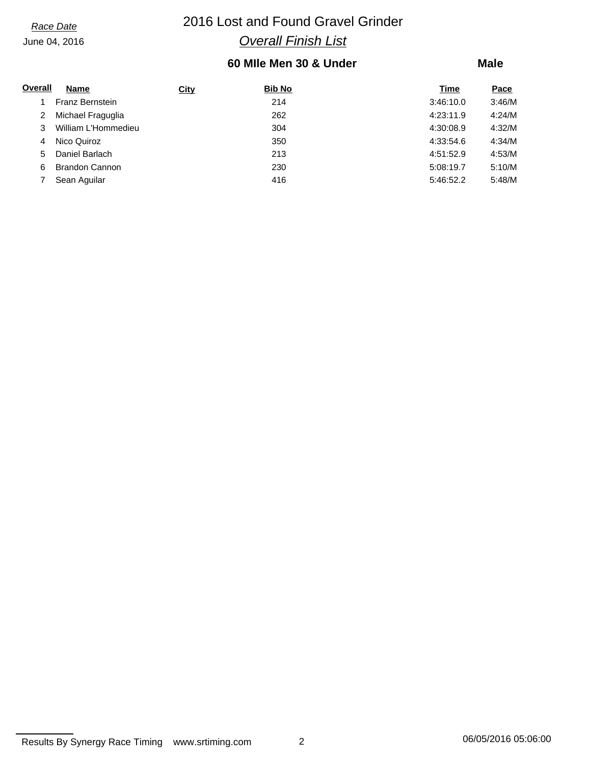## *Race Date* 2016 Lost and Found Gravel Grinder *Overall Finish List*

## **60 MIle Men 30 & Under**

### **Male**

| Overall | <b>Name</b>           | <b>City</b> | <b>Bib No</b> | Time      | Pace   |
|---------|-----------------------|-------------|---------------|-----------|--------|
|         | Franz Bernstein       |             | 214           | 3:46:10.0 | 3:46/M |
| 2       | Michael Fraguglia     |             | 262           | 4:23:11.9 | 4:24/M |
| 3       | William L'Hommedieu   |             | 304           | 4:30:08.9 | 4:32/M |
| 4       | Nico Quiroz           |             | 350           | 4:33:54.6 | 4:34/M |
| 5.      | Daniel Barlach        |             | 213           | 4:51:52.9 | 4:53/M |
| 6       | <b>Brandon Cannon</b> |             | 230           | 5:08:19.7 | 5:10/M |
|         | Sean Aquilar          |             | 416           | 5:46:52.2 | 5:48/M |

Results By Synergy Race Timing www.srtiming.com 2 2 06/05/2016 05:06:00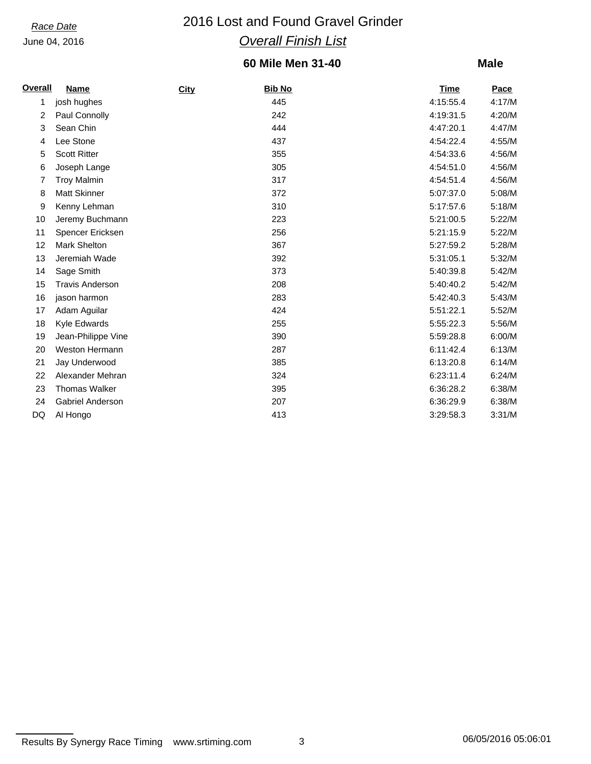## *Race Date* 2016 Lost and Found Gravel Grinder *Overall Finish List*

## **60 Mile Men 31-40**

| <b>Overall</b> | Name                   | City | <b>Bib No</b> | <b>Time</b> | Pace   |
|----------------|------------------------|------|---------------|-------------|--------|
| 1              | josh hughes            |      | 445           | 4:15:55.4   | 4:17/M |
| 2              | Paul Connolly          |      | 242           | 4:19:31.5   | 4:20/M |
| 3              | Sean Chin              |      | 444           | 4:47:20.1   | 4:47/M |
| 4              | Lee Stone              |      | 437           | 4:54:22.4   | 4:55/M |
| 5              | <b>Scott Ritter</b>    |      | 355           | 4:54:33.6   | 4:56/M |
| 6              | Joseph Lange           |      | 305           | 4:54:51.0   | 4:56/M |
| 7              | <b>Troy Malmin</b>     |      | 317           | 4:54:51.4   | 4:56/M |
| 8              | <b>Matt Skinner</b>    |      | 372           | 5:07:37.0   | 5:08/M |
| 9              | Kenny Lehman           |      | 310           | 5:17:57.6   | 5:18/M |
| 10             | Jeremy Buchmann        |      | 223           | 5:21:00.5   | 5:22/M |
| 11             | Spencer Ericksen       |      | 256           | 5:21:15.9   | 5:22/M |
| 12             | <b>Mark Shelton</b>    |      | 367           | 5:27:59.2   | 5:28/M |
| 13             | Jeremiah Wade          |      | 392           | 5:31:05.1   | 5:32/M |
| 14             | Sage Smith             |      | 373           | 5:40:39.8   | 5:42/M |
| 15             | <b>Travis Anderson</b> |      | 208           | 5:40:40.2   | 5:42/M |
| 16             | jason harmon           |      | 283           | 5:42:40.3   | 5:43/M |
| 17             | Adam Aguilar           |      | 424           | 5:51:22.1   | 5:52/M |
| 18             | Kyle Edwards           |      | 255           | 5:55:22.3   | 5:56/M |
| 19             | Jean-Philippe Vine     |      | 390           | 5:59:28.8   | 6:00/M |
| 20             | <b>Weston Hermann</b>  |      | 287           | 6:11:42.4   | 6:13/M |
| 21             | Jay Underwood          |      | 385           | 6:13:20.8   | 6:14/M |
| 22             | Alexander Mehran       |      | 324           | 6:23:11.4   | 6:24/M |
| 23             | <b>Thomas Walker</b>   |      | 395           | 6:36:28.2   | 6:38/M |
| 24             | Gabriel Anderson       |      | 207           | 6:36:29.9   | 6:38/M |
| DQ             | Al Hongo               |      | 413           | 3:29:58.3   | 3:31/M |

```
Results By Synergy Race Timing www.srtiming.com 3 3 06/05/2016 05:06:01
```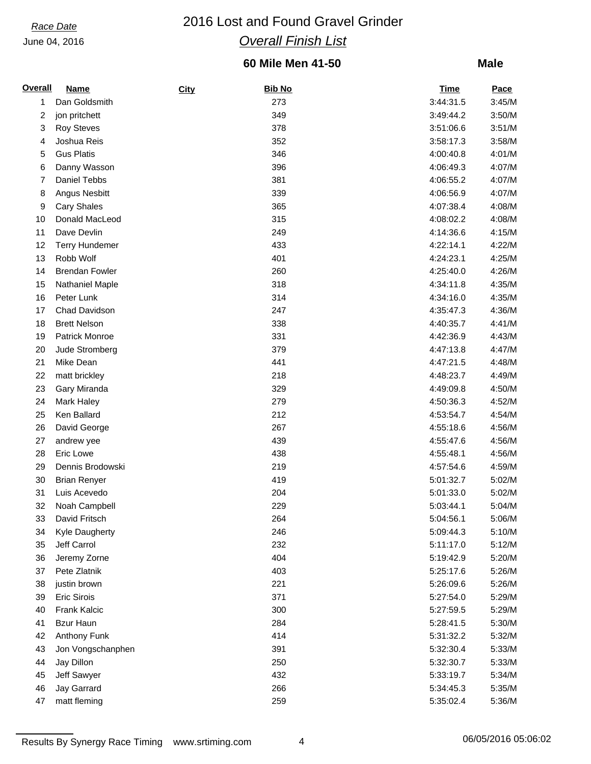## *Race Date* 2016 Lost and Found Gravel Grinder *Overall Finish List*

## **60 Mile Men 41-50**

| <b>Overall</b> | <b>Name</b>           | City | <b>Bib No</b> | <b>Time</b> | Pace   |
|----------------|-----------------------|------|---------------|-------------|--------|
| 1              | Dan Goldsmith         |      | 273           | 3:44:31.5   | 3:45/M |
| 2              | jon pritchett         |      | 349           | 3:49:44.2   | 3:50/M |
| 3              | <b>Roy Steves</b>     |      | 378           | 3:51:06.6   | 3:51/M |
| 4              | Joshua Reis           |      | 352           | 3:58:17.3   | 3:58/M |
| 5              | <b>Gus Platis</b>     |      | 346           | 4:00:40.8   | 4:01/M |
| 6              | Danny Wasson          |      | 396           | 4:06:49.3   | 4:07/M |
| 7              | Daniel Tebbs          |      | 381           | 4:06:55.2   | 4:07/M |
| 8              | Angus Nesbitt         |      | 339           | 4:06:56.9   | 4:07/M |
| 9              | <b>Cary Shales</b>    |      | 365           | 4:07:38.4   | 4:08/M |
| 10             | Donald MacLeod        |      | 315           | 4:08:02.2   | 4:08/M |
| 11             | Dave Devlin           |      | 249           | 4:14:36.6   | 4:15/M |
| 12             | <b>Terry Hundemer</b> |      | 433           | 4:22:14.1   | 4:22/M |
| 13             | Robb Wolf             |      | 401           | 4:24:23.1   | 4:25/M |
| 14             | <b>Brendan Fowler</b> |      | 260           | 4:25:40.0   | 4:26/M |
| 15             | Nathaniel Maple       |      | 318           | 4:34:11.8   | 4:35/M |
| 16             | Peter Lunk            |      | 314           | 4:34:16.0   | 4:35/M |
| 17             | Chad Davidson         |      | 247           | 4:35:47.3   | 4:36/M |
| 18             | <b>Brett Nelson</b>   |      | 338           | 4:40:35.7   | 4:41/M |
| 19             | Patrick Monroe        |      | 331           | 4:42:36.9   | 4:43/M |
|                | Jude Stromberg        |      | 379           | 4:47:13.8   |        |
| 20             |                       |      |               |             | 4:47/M |
| 21             | Mike Dean             |      | 441           | 4:47:21.5   | 4:48/M |
| 22             | matt brickley         |      | 218           | 4:48:23.7   | 4:49/M |
| 23             | Gary Miranda          |      | 329           | 4:49:09.8   | 4:50/M |
| 24             | Mark Haley            |      | 279           | 4:50:36.3   | 4:52/M |
| 25             | Ken Ballard           |      | 212           | 4:53:54.7   | 4:54/M |
| 26             | David George          |      | 267           | 4:55:18.6   | 4:56/M |
| 27             | andrew yee            |      | 439           | 4:55:47.6   | 4:56/M |
| 28             | Eric Lowe             |      | 438           | 4:55:48.1   | 4:56/M |
| 29             | Dennis Brodowski      |      | 219           | 4:57:54.6   | 4:59/M |
| 30             | <b>Brian Renyer</b>   |      | 419           | 5:01:32.7   | 5:02/M |
| 31             | Luis Acevedo          |      | 204           | 5:01:33.0   | 5:02/M |
| 32             | Noah Campbell         |      | 229           | 5:03:44.1   | 5:04/M |
| 33             | David Fritsch         |      | 264           | 5:04:56.1   | 5:06/M |
| 34             | Kyle Daugherty        |      | 246           | 5:09:44.3   | 5:10/M |
| 35             | Jeff Carrol           |      | 232           | 5:11:17.0   | 5:12/M |
| 36             | Jeremy Zorne          |      | 404           | 5:19:42.9   | 5:20/M |
| 37             | Pete Zlatnik          |      | 403           | 5:25:17.6   | 5:26/M |
| 38             | justin brown          |      | 221           | 5:26:09.6   | 5:26/M |
| 39             | Eric Sirois           |      | 371           | 5:27:54.0   | 5:29/M |
| 40             | Frank Kalcic          |      | 300           | 5:27:59.5   | 5:29/M |
| 41             | <b>Bzur Haun</b>      |      | 284           | 5:28:41.5   | 5:30/M |
| 42             | Anthony Funk          |      | 414           | 5:31:32.2   | 5:32/M |
| 43             | Jon Vongschanphen     |      | 391           | 5:32:30.4   | 5:33/M |
| 44             | Jay Dillon            |      | 250           | 5:32:30.7   | 5:33/M |
| 45             | Jeff Sawyer           |      | 432           | 5:33:19.7   | 5:34/M |
| 46             | Jay Garrard           |      | 266           | 5:34:45.3   | 5:35/M |
| 47             | matt fleming          |      | 259           | 5:35:02.4   | 5:36/M |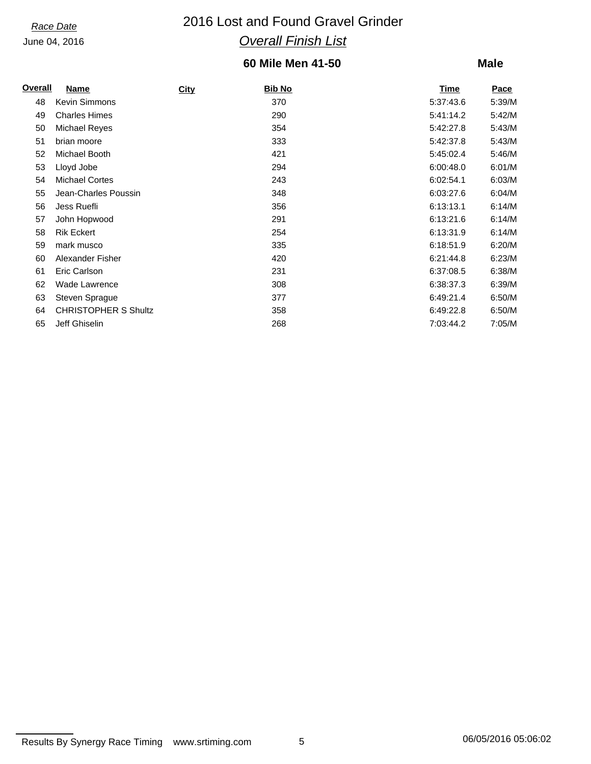## *Race Date* 2016 Lost and Found Gravel Grinder *Overall Finish List*

## **60 Mile Men 41-50**

### **Male**

| <b>Overall</b> | Name                        | <b>City</b> | Bib No | <u>Time</u> | Pace   |
|----------------|-----------------------------|-------------|--------|-------------|--------|
| 48             | <b>Kevin Simmons</b>        |             | 370    | 5:37:43.6   | 5:39/M |
| 49             | <b>Charles Himes</b>        |             | 290    | 5:41:14.2   | 5:42/M |
| 50             | <b>Michael Reyes</b>        |             | 354    | 5:42:27.8   | 5:43/M |
| 51             | brian moore                 |             | 333    | 5:42:37.8   | 5:43/M |
| 52             | Michael Booth               |             | 421    | 5:45:02.4   | 5:46/M |
| 53             | Lloyd Jobe                  |             | 294    | 6:00:48.0   | 6:01/M |
| 54             | <b>Michael Cortes</b>       |             | 243    | 6:02:54.1   | 6:03/M |
| 55             | Jean-Charles Poussin        |             | 348    | 6:03:27.6   | 6:04/M |
| 56             | Jess Ruefli                 |             | 356    | 6:13:13.1   | 6:14/M |
| 57             | John Hopwood                |             | 291    | 6:13:21.6   | 6:14/M |
| 58             | <b>Rik Eckert</b>           |             | 254    | 6:13:31.9   | 6:14/M |
| 59             | mark musco                  |             | 335    | 6:18:51.9   | 6:20/M |
| 60             | Alexander Fisher            |             | 420    | 6:21:44.8   | 6:23/M |
| 61             | Eric Carlson                |             | 231    | 6:37:08.5   | 6:38/M |
| 62             | Wade Lawrence               |             | 308    | 6:38:37.3   | 6:39/M |
| 63             | Steven Sprague              |             | 377    | 6:49:21.4   | 6:50/M |
| 64             | <b>CHRISTOPHER S Shultz</b> |             | 358    | 6:49:22.8   | 6:50/M |
| 65             | Jeff Ghiselin               |             | 268    | 7:03:44.2   | 7:05/M |

Results By Synergy Race Timing www.srtiming.com 5 5 06/05/2016 05:06:02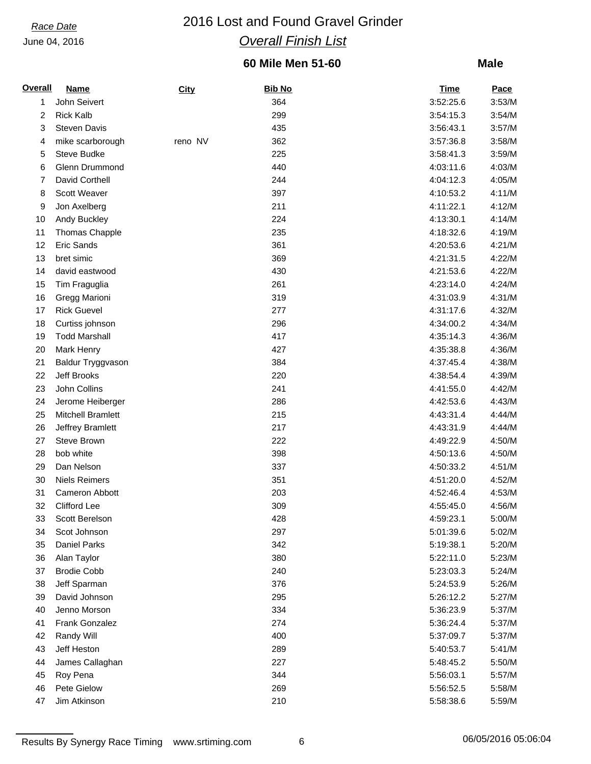## *Race Date* 2016 Lost and Found Gravel Grinder *Overall Finish List*

## **60 Mile Men 51-60**

### **Male**

| <b>Overall</b> | <b>Name</b>                     | <b>City</b> | <b>Bib No</b> | <b>Time</b> | Pace   |
|----------------|---------------------------------|-------------|---------------|-------------|--------|
| 1              | John Seivert                    |             | 364           | 3:52:25.6   | 3:53/M |
| 2              | <b>Rick Kalb</b>                |             | 299           | 3:54:15.3   | 3:54/M |
| 3              | <b>Steven Davis</b>             |             | 435           | 3:56:43.1   | 3:57/M |
| 4              | mike scarborough                | reno NV     | 362           | 3:57:36.8   | 3:58/M |
| 5              | Steve Budke                     |             | 225           | 3:58:41.3   | 3:59/M |
| 6              | Glenn Drummond                  |             | 440           | 4:03:11.6   | 4:03/M |
| 7              | David Corthell                  |             | 244           | 4:04:12.3   | 4:05/M |
| 8              | Scott Weaver                    |             | 397           | 4:10:53.2   | 4:11/M |
| 9              | Jon Axelberg                    |             | 211           | 4:11:22.1   | 4:12/M |
| 10             | Andy Buckley                    |             | 224           | 4:13:30.1   | 4:14/M |
| 11             | <b>Thomas Chapple</b>           |             | 235           | 4:18:32.6   | 4:19/M |
| 12             | Eric Sands                      |             | 361           | 4:20:53.6   | 4:21/M |
| 13             | bret simic                      |             | 369           | 4:21:31.5   | 4:22/M |
| 14             | david eastwood                  |             | 430           | 4:21:53.6   | 4:22/M |
| 15             | Tim Fraguglia                   |             | 261           | 4:23:14.0   | 4:24/M |
| 16             | Gregg Marioni                   |             | 319           | 4:31:03.9   | 4:31/M |
| 17             | <b>Rick Guevel</b>              |             | 277           | 4:31:17.6   | 4:32/M |
| 18             | Curtiss johnson                 |             | 296           | 4:34:00.2   | 4:34/M |
| 19             | <b>Todd Marshall</b>            |             | 417           | 4:35:14.3   | 4:36/M |
| 20             | Mark Henry                      |             | 427           | 4:35:38.8   | 4:36/M |
| 21             | Baldur Tryggvason               |             | 384           | 4:37:45.4   | 4:38/M |
| 22             | Jeff Brooks                     |             | 220           | 4:38:54.4   | 4:39/M |
| 23             | John Collins                    |             | 241           | 4:41:55.0   | 4:42/M |
| 24             | Jerome Heiberger                |             | 286           | 4:42:53.6   | 4:43/M |
|                | Mitchell Bramlett               |             | 215           |             |        |
| 25             |                                 |             | 217           | 4:43:31.4   | 4:44/M |
| 26             | Jeffrey Bramlett<br>Steve Brown |             |               | 4:43:31.9   | 4:44/M |
| 27             |                                 |             | 222           | 4:49:22.9   | 4:50/M |
| 28             | bob white                       |             | 398           | 4:50:13.6   | 4:50/M |
| 29             | Dan Nelson                      |             | 337           | 4:50:33.2   | 4:51/M |
| 30             | <b>Niels Reimers</b>            |             | 351           | 4:51:20.0   | 4:52/M |
| 31             | Cameron Abbott                  |             | 203           | 4:52:46.4   | 4:53/M |
| 32             | Clifford Lee                    |             | 309           | 4:55:45.0   | 4:56/M |
| 33             | Scott Berelson                  |             | 428           | 4:59:23.1   | 5:00/M |
| 34             | Scot Johnson                    |             | 297           | 5:01:39.6   | 5:02/M |
| 35             | <b>Daniel Parks</b>             |             | 342           | 5:19:38.1   | 5:20/M |
| 36             | Alan Taylor                     |             | 380           | 5:22:11.0   | 5:23/M |
| 37             | <b>Brodie Cobb</b>              |             | 240           | 5:23:03.3   | 5:24/M |
| 38             | Jeff Sparman                    |             | 376           | 5:24:53.9   | 5:26/M |
| 39             | David Johnson                   |             | 295           | 5:26:12.2   | 5:27/M |
| 40             | Jenno Morson                    |             | 334           | 5:36:23.9   | 5:37/M |
| 41             | Frank Gonzalez                  |             | 274           | 5:36:24.4   | 5:37/M |
| 42             | Randy Will                      |             | 400           | 5:37:09.7   | 5:37/M |
| 43             | Jeff Heston                     |             | 289           | 5:40:53.7   | 5:41/M |
| 44             | James Callaghan                 |             | 227           | 5:48:45.2   | 5:50/M |
| 45             | Roy Pena                        |             | 344           | 5:56:03.1   | 5:57/M |
| 46             | Pete Gielow                     |             | 269           | 5:56:52.5   | 5:58/M |
| 47             | Jim Atkinson                    |             | 210           | 5:58:38.6   | 5:59/M |

Results By Synergy Race Timing www.srtiming.com 6 6 06/05/2016 05:06:04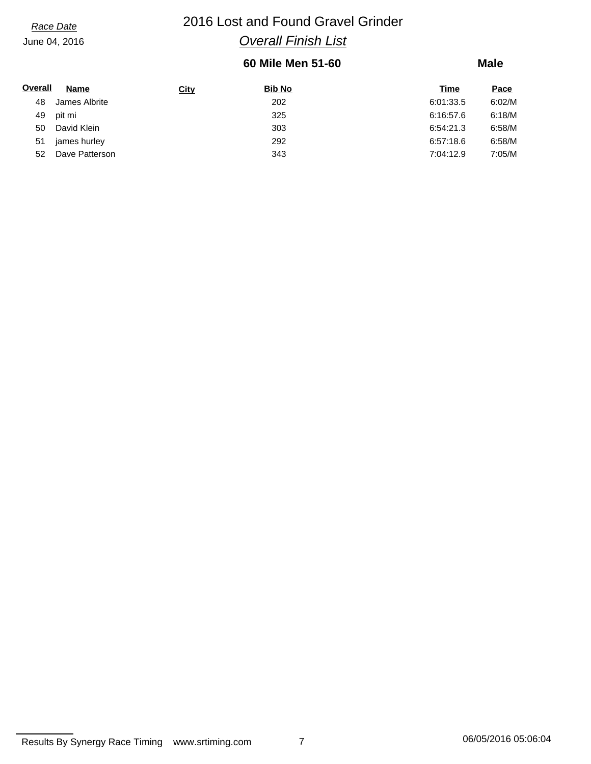## *Race Date* 2016 Lost and Found Gravel Grinder *Overall Finish List*

## **60 Mile Men 51-60**

| Overall | <b>Name</b>    | <b>City</b> | <b>Bib No</b> | Time      | Pace   |
|---------|----------------|-------------|---------------|-----------|--------|
| 48      | James Albrite  |             | 202           | 6:01:33.5 | 6:02/M |
| 49      | pit mi         |             | 325           | 6:16:57.6 | 6:18/M |
| 50      | David Klein    |             | 303           | 6:54:21.3 | 6:58/M |
| 51      | james hurley   |             | 292           | 6:57:18.6 | 6:58/M |
| 52      | Dave Patterson |             | 343           | 7:04:12.9 | 7:05/M |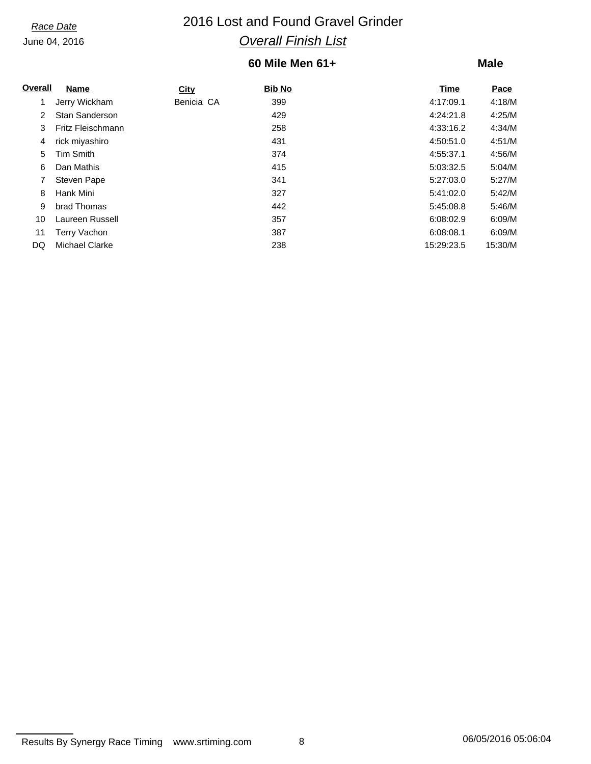## *Race Date* 2016 Lost and Found Gravel Grinder *Overall Finish List*

## **60 Mile Men 61+**

| Overall        | Name                  | City       | <b>Bib No</b> | Time       | Pace    |
|----------------|-----------------------|------------|---------------|------------|---------|
|                | Jerry Wickham         | Benicia CA | 399           | 4:17:09.1  | 4:18/M  |
| $\overline{2}$ | <b>Stan Sanderson</b> |            | 429           | 4:24:21.8  | 4:25/M  |
| 3              | Fritz Fleischmann     |            | 258           | 4:33:16.2  | 4:34/M  |
| 4              | rick miyashiro        |            | 431           | 4:50:51.0  | 4:51/M  |
| 5              | <b>Tim Smith</b>      |            | 374           | 4:55:37.1  | 4:56/M  |
| 6              | Dan Mathis            |            | 415           | 5:03:32.5  | 5:04/M  |
|                | <b>Steven Pape</b>    |            | 341           | 5:27:03.0  | 5:27/M  |
| 8              | Hank Mini             |            | 327           | 5:41:02.0  | 5:42/M  |
| 9              | brad Thomas           |            | 442           | 5:45:08.8  | 5:46/M  |
| 10             | Laureen Russell       |            | 357           | 6:08:02.9  | 6:09/M  |
| 11             | Terry Vachon          |            | 387           | 6:08:08.1  | 6:09/M  |
| DQ             | Michael Clarke        |            | 238           | 15:29:23.5 | 15:30/M |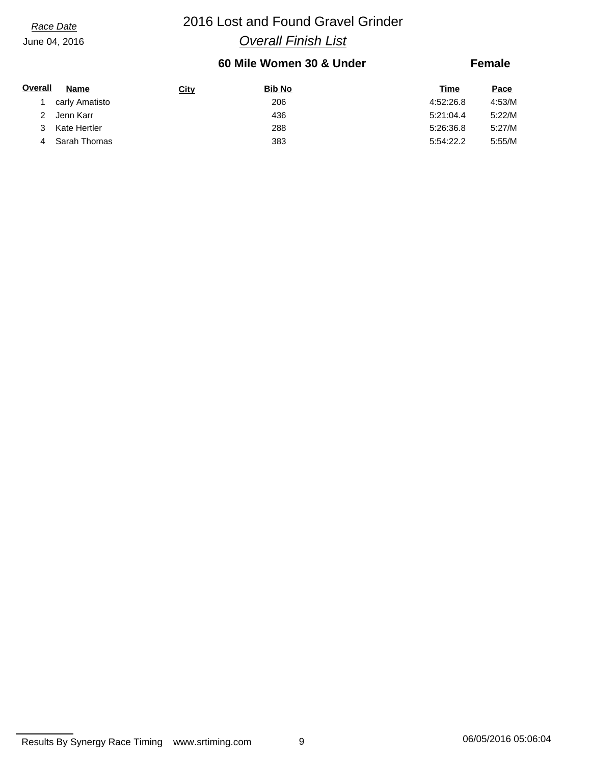## *Race Date* 2016 Lost and Found Gravel Grinder *Overall Finish List*

## **60 Mile Women 30 & Under**

### **Female**

| Overall | Name           | <b>City</b> | <b>Bib No</b> | Time      | <u>Pace</u> |
|---------|----------------|-------------|---------------|-----------|-------------|
|         | carly Amatisto |             | 206           | 4:52:26.8 | 4:53/M      |
|         | Jenn Karr      |             | 436           | 5:21:04.4 | 5:22/M      |
| 3       | Kate Hertler   |             | 288           | 5:26:36.8 | 5:27/M      |
|         | Sarah Thomas   |             | 383           | 5:54:22.2 | 5:55/M      |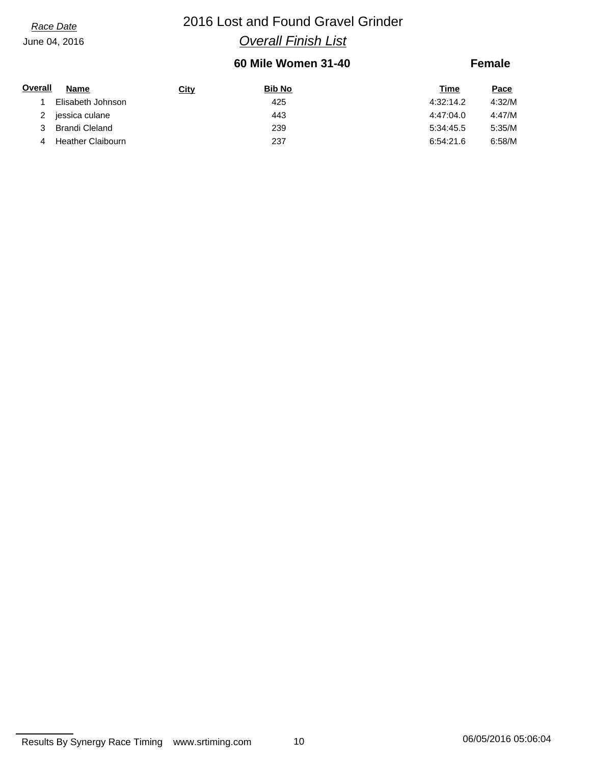## *Race Date* 2016 Lost and Found Gravel Grinder *Overall Finish List*

## **60 Mile Women 31-40**

### **Female**

| Overall | <b>Name</b>       | <b>City</b> | <b>Bib No</b> | Time      | <u>Pace</u> |
|---------|-------------------|-------------|---------------|-----------|-------------|
|         | Elisabeth Johnson |             | 425           | 4:32:14.2 | 4:32/M      |
|         | jessica culane    |             | 443           | 4:47:04.0 | 4:47/M      |
|         | Brandi Cleland    |             | 239           | 5:34:45.5 | 5:35/M      |
| 4       | Heather Claibourn |             | 237           | 6:54:21.6 | 6:58/M      |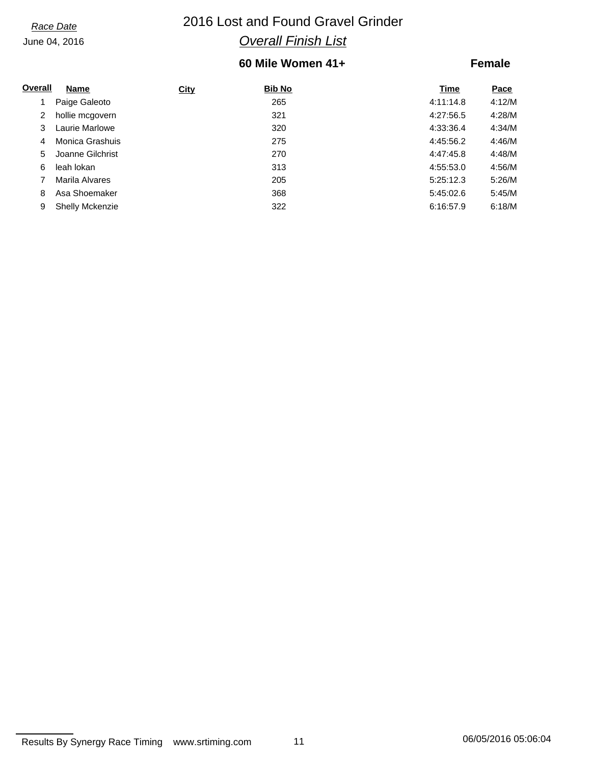## *Race Date* 2016 Lost and Found Gravel Grinder *Overall Finish List*

## **60 Mile Women 41+**

### **Female**

| Overall | <b>Name</b>            | <b>City</b> | <b>Bib No</b> | Time      | Pace   |
|---------|------------------------|-------------|---------------|-----------|--------|
|         | Paige Galeoto          |             | 265           | 4:11:14.8 | 4:12/M |
| 2       | hollie mcgovern        |             | 321           | 4:27:56.5 | 4:28/M |
| 3       | Laurie Marlowe         |             | 320           | 4:33:36.4 | 4:34/M |
| 4       | Monica Grashuis        |             | 275           | 4:45:56.2 | 4:46/M |
| 5.      | Joanne Gilchrist       |             | 270           | 4:47:45.8 | 4:48/M |
| 6       | leah lokan             |             | 313           | 4:55:53.0 | 4:56/M |
|         | Marila Alvares         |             | 205           | 5:25:12.3 | 5:26/M |
| 8       | Asa Shoemaker          |             | 368           | 5:45:02.6 | 5:45/M |
| 9       | <b>Shelly Mckenzie</b> |             | 322           | 6:16:57.9 | 6:18/M |

Results By Synergy Race Timing www.srtiming.com 11 1 1 06/05/2016 05:06:04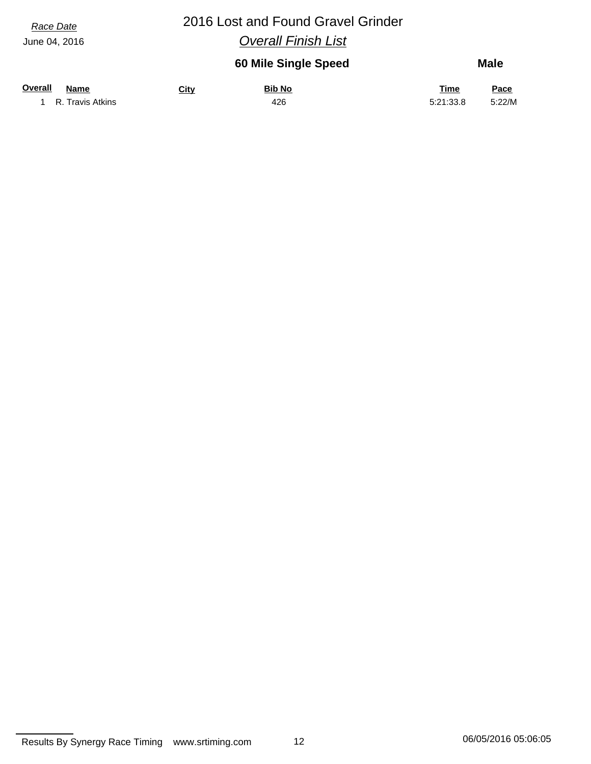## *Race Date* 2016 Lost and Found Gravel Grinder *Overall Finish List*

### **60 Mile Single Speed Male**

| <b>Overall</b> | <b>Name</b>      | <u>City</u> | <b>Bib No</b> | <b>Time</b> | Pace   |
|----------------|------------------|-------------|---------------|-------------|--------|
|                | R. Travis Atkins |             | 426           | 5:21:33.8   | 5:22/M |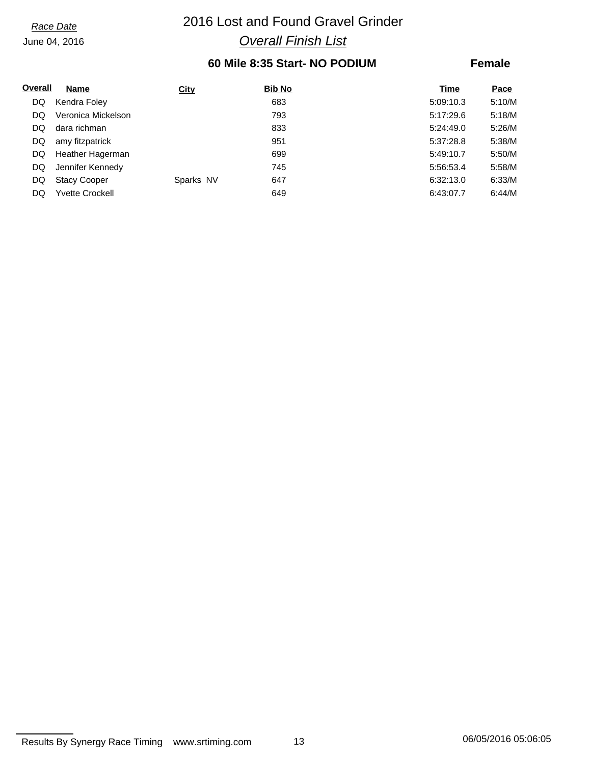## *Race Date* 2016 Lost and Found Gravel Grinder *Overall Finish List*

## **60 Mile 8:35 Start- NO PODIUM**

### **Female**

| Overall | Name                   | <b>City</b> | <b>Bib No</b> | Time      | Pace   |
|---------|------------------------|-------------|---------------|-----------|--------|
| DQ      | Kendra Foley           |             | 683           | 5:09:10.3 | 5:10/M |
| DQ      | Veronica Mickelson     |             | 793           | 5:17:29.6 | 5:18/M |
| DQ      | dara richman           |             | 833           | 5:24:49.0 | 5:26/M |
| DQ      | amy fitzpatrick        |             | 951           | 5:37:28.8 | 5:38/M |
| DQ      | Heather Hagerman       |             | 699           | 5:49:10.7 | 5:50/M |
| DQ      | Jennifer Kennedy       |             | 745           | 5:56:53.4 | 5:58/M |
| DQ      | <b>Stacy Cooper</b>    | Sparks NV   | 647           | 6:32:13.0 | 6:33/M |
| DQ      | <b>Yvette Crockell</b> |             | 649           | 6:43:07.7 | 6:44/M |

Results By Synergy Race Timing www.srtiming.com 13 13 06/05/2016 05:06:05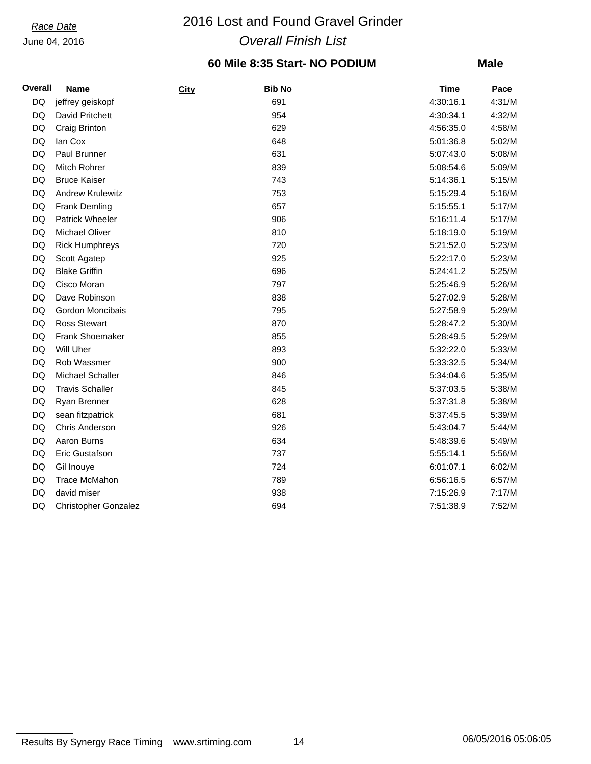## *Race Date* 2016 Lost and Found Gravel Grinder *Overall Finish List*

## **60 Mile 8:35 Start- NO PODIUM**

| <b>Overall</b> | <b>Name</b>                 | <b>City</b> | <b>Bib No</b> | <b>Time</b> | Pace   |
|----------------|-----------------------------|-------------|---------------|-------------|--------|
| DQ             | jeffrey geiskopf            |             | 691           | 4:30:16.1   | 4:31/M |
| DQ             | David Pritchett             |             | 954           | 4:30:34.1   | 4:32/M |
| DQ             | Craig Brinton               |             | 629           | 4:56:35.0   | 4:58/M |
| DQ             | lan Cox                     |             | 648           | 5:01:36.8   | 5:02/M |
| DQ             | Paul Brunner                |             | 631           | 5:07:43.0   | 5:08/M |
| DQ             | <b>Mitch Rohrer</b>         |             | 839           | 5:08:54.6   | 5:09/M |
| DQ             | <b>Bruce Kaiser</b>         |             | 743           | 5:14:36.1   | 5:15/M |
| DQ             | <b>Andrew Krulewitz</b>     |             | 753           | 5:15:29.4   | 5:16/M |
| DQ             | <b>Frank Demling</b>        |             | 657           | 5:15:55.1   | 5:17/M |
| DQ             | <b>Patrick Wheeler</b>      |             | 906           | 5:16:11.4   | 5:17/M |
| DQ             | <b>Michael Oliver</b>       |             | 810           | 5:18:19.0   | 5:19/M |
| DQ             | <b>Rick Humphreys</b>       |             | 720           | 5:21:52.0   | 5:23/M |
| DQ             | Scott Agatep                |             | 925           | 5:22:17.0   | 5:23/M |
| DQ             | <b>Blake Griffin</b>        |             | 696           | 5:24:41.2   | 5:25/M |
| DQ             | Cisco Moran                 |             | 797           | 5:25:46.9   | 5:26/M |
| DQ             | Dave Robinson               |             | 838           | 5:27:02.9   | 5:28/M |
| DQ             | Gordon Moncibais            |             | 795           | 5:27:58.9   | 5:29/M |
| DQ             | <b>Ross Stewart</b>         |             | 870           | 5:28:47.2   | 5:30/M |
| DQ             | <b>Frank Shoemaker</b>      |             | 855           | 5:28:49.5   | 5:29/M |
| DQ             | Will Uher                   |             | 893           | 5:32:22.0   | 5:33/M |
| DQ             | Rob Wassmer                 |             | 900           | 5:33:32.5   | 5:34/M |
| DQ             | Michael Schaller            |             | 846           | 5:34:04.6   | 5:35/M |
| DQ             | <b>Travis Schaller</b>      |             | 845           | 5:37:03.5   | 5:38/M |
| DQ             | Ryan Brenner                |             | 628           | 5:37:31.8   | 5:38/M |
| DQ             | sean fitzpatrick            |             | 681           | 5:37:45.5   | 5:39/M |
| DQ             | Chris Anderson              |             | 926           | 5:43:04.7   | 5:44/M |
| DQ             | Aaron Burns                 |             | 634           | 5:48:39.6   | 5:49/M |
| DQ             | Eric Gustafson              |             | 737           | 5:55:14.1   | 5:56/M |
| DQ             | Gil Inouye                  |             | 724           | 6:01:07.1   | 6:02/M |
| DQ             | Trace McMahon               |             | 789           | 6:56:16.5   | 6:57/M |
| DQ             | david miser                 |             | 938           | 7:15:26.9   | 7:17/M |
| DQ             | <b>Christopher Gonzalez</b> |             | 694           | 7:51:38.9   | 7:52/M |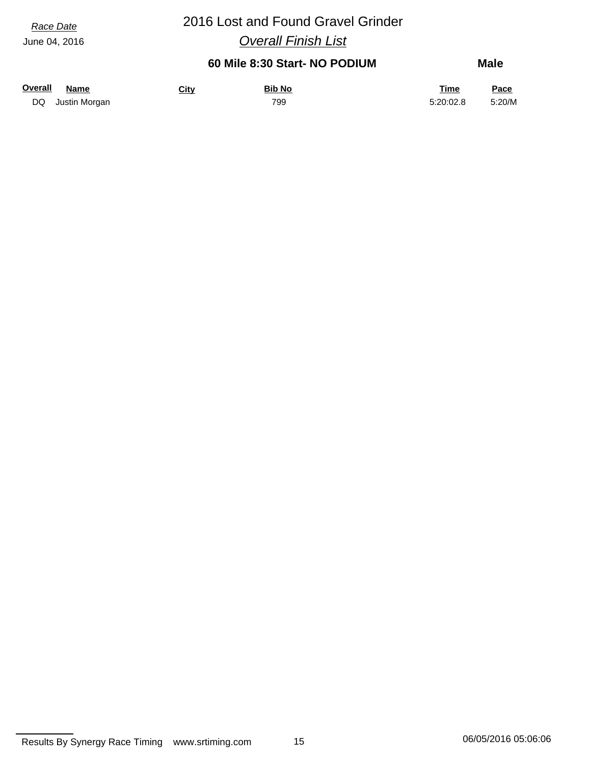# *Race Date* 2016 Lost and Found Gravel Grinder

*Overall Finish List*

## **60 Mile 8:30 Start- NO PODIUM**

| Overall | Name             | <u>City</u> | <b>Bib No</b> | <u>Time</u> | <u>Pace</u> |
|---------|------------------|-------------|---------------|-------------|-------------|
|         | DQ Justin Morgan |             | 799           | 5:20:02.8   | 5:20/M      |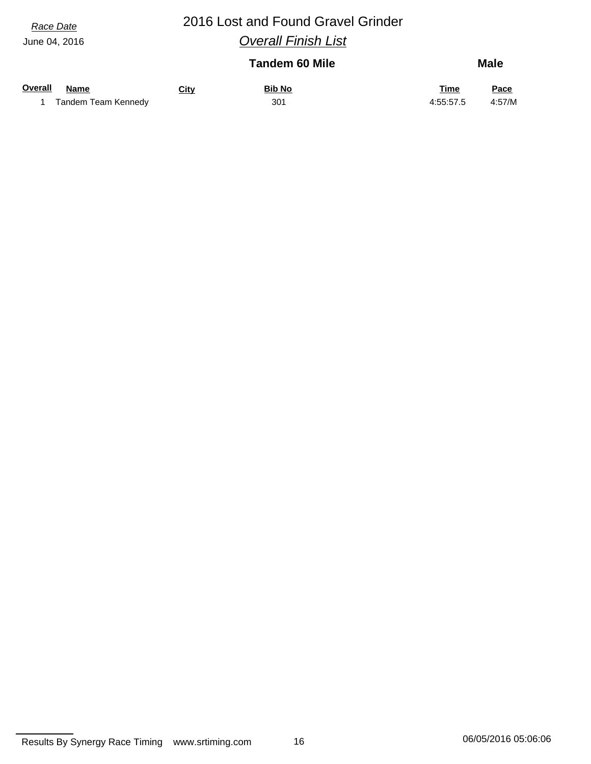## *Race Date* 2016 Lost and Found Gravel Grinder *Overall Finish List*

|                     |             | <b>Tandem 60 Mile</b> |             | <b>Male</b> |  |
|---------------------|-------------|-----------------------|-------------|-------------|--|
| Overall<br>Name     | <b>City</b> | <b>Bib No</b>         | <u>Time</u> | Pace        |  |
| Tandem Team Kennedy |             | 301                   | 4:55:57.5   | 4:57/M      |  |